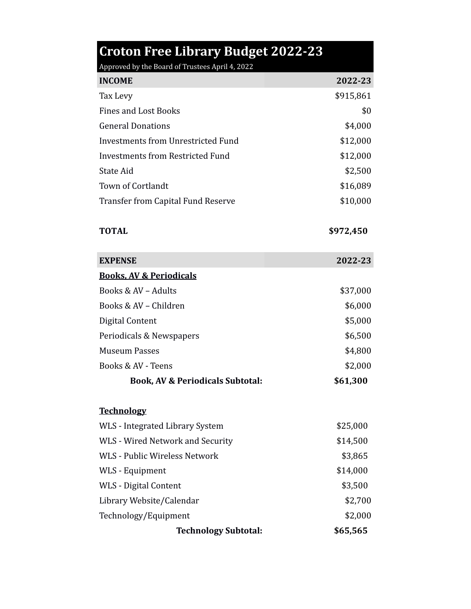| <b>Croton Free Library Budget 2022-23</b><br>Approved by the Board of Trustees April 4, 2022 |           |
|----------------------------------------------------------------------------------------------|-----------|
| <b>INCOME</b>                                                                                | 2022-23   |
| Tax Levy                                                                                     | \$915,861 |
| <b>Fines and Lost Books</b>                                                                  | \$0       |
| <b>General Donations</b>                                                                     | \$4,000   |
| <b>Investments from Unrestricted Fund</b>                                                    | \$12,000  |
| Investments from Restricted Fund                                                             | \$12,000  |
| <b>State Aid</b>                                                                             | \$2,500   |
| Town of Cortlandt                                                                            | \$16,089  |
| <b>Transfer from Capital Fund Reserve</b>                                                    | \$10,000  |
| <b>TOTAL</b>                                                                                 | \$972,450 |
| <b>EXPENSE</b>                                                                               | 2022-23   |
| <b>Books, AV &amp; Periodicals</b>                                                           |           |
| Books & AV - Adults                                                                          | \$37,000  |
| Books & AV - Children                                                                        | \$6,000   |
| Digital Content                                                                              | \$5,000   |
| Periodicals & Newspapers                                                                     | \$6,500   |
| <b>Museum Passes</b>                                                                         | \$4,800   |
| Books & AV - Teens                                                                           | \$2,000   |
| <b>Book, AV &amp; Periodicals Subtotal:</b>                                                  | \$61,300  |
| <b>Technology</b>                                                                            |           |
| WLS - Integrated Library System                                                              | \$25,000  |
| WLS - Wired Network and Security                                                             | \$14,500  |
| <b>WLS - Public Wireless Network</b>                                                         | \$3,865   |
| WLS - Equipment                                                                              | \$14,000  |
| <b>WLS</b> - Digital Content                                                                 | \$3,500   |
| Library Website/Calendar                                                                     | \$2,700   |
| Technology/Equipment                                                                         | \$2,000   |
| <b>Technology Subtotal:</b>                                                                  | \$65,565  |